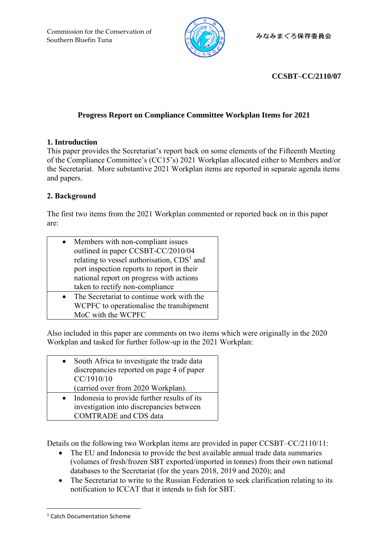

# **CCSBT–CC/2110/07**

# **Progress Report on Compliance Committee Workplan Items for 2021**

## **1. Introduction**

This paper provides the Secretariat's report back on some elements of the Fifteenth Meeting of the Compliance Committee's (CC15's) 2021 Workplan allocated either to Members and/or the Secretariat. More substantive 2021 Workplan items are reported in separate agenda items and papers.

# **2. Background**

The first two items from the 2021 Workplan commented or reported back on in this paper are:

| Members with non-compliant issues                      |
|--------------------------------------------------------|
| outlined in paper CCSBT-CC/2010/04                     |
| relating to vessel authorisation, CDS <sup>1</sup> and |
| port inspection reports to report in their             |
| national report on progress with actions               |
| taken to rectify non-compliance                        |
| The Secretariat to continue work with the              |
| WCPFC to operationalise the transhipment               |
| MoC with the WCPFC                                     |

Also included in this paper are comments on two items which were originally in the 2020 Workplan and tasked for further follow-up in the 2021 Workplan:

| South Africa to investigate the trade data |
|--------------------------------------------|
| discrepancies reported on page 4 of paper  |
| CC/1910/10                                 |
| (carried over from 2020 Workplan).         |

• Indonesia to provide further results of its investigation into discrepancies between COMTRADE and CDS data

Details on the following two Workplan items are provided in paper CCSBT–CC/2110/11:

- The EU and Indonesia to provide the best available annual trade data summaries (volumes of fresh/frozen SBT exported/imported in tonnes) from their own national databases to the Secretariat (for the years 2018, 2019 and 2020); and
- The Secretariat to write to the Russian Federation to seek clarification relating to its notification to ICCAT that it intends to fish for SBT.

<sup>1</sup> Catch Documentation Scheme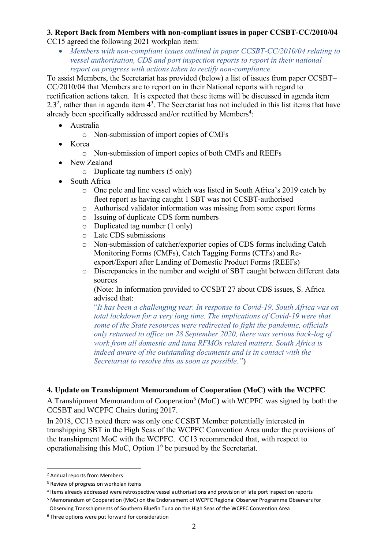#### **3. Report Back from Members with non-compliant issues in paper CCSBT-CC/2010/04** CC15 agreed the following 2021 workplan item:

• *Members with non-compliant issues outlined in paper CCSBT-CC/2010/04 relating to vessel authorisation, CDS and port inspection reports to report in their national report on progress with actions taken to rectify non-compliance.*

To assist Members, the Secretariat has provided (below) a list of issues from paper CCSBT– CC/2010/04 that Members are to report on in their National reports with regard to rectification actions taken. It is expected that these items will be discussed in agenda item 2.3<sup>2</sup>, rather than in agenda item  $4^3$ . The Secretariat has not included in this list items that have already been specifically addressed and/or rectified by Members $^4$ :

- Australia
	- o Non-submission of import copies of CMFs
- Korea
	- o Non-submission of import copies of both CMFs and REEFs
- New Zealand
	- o Duplicate tag numbers (5 only)
- South Africa
	- o One pole and line vessel which was listed in South Africa's 2019 catch by fleet report as having caught 1 SBT was not CCSBT-authorised
	- o Authorised validator information was missing from some export forms
	- o Issuing of duplicate CDS form numbers
	- o Duplicated tag number (1 only)
	- o Late CDS submissions
	- o Non-submission of catcher/exporter copies of CDS forms including Catch Monitoring Forms (CMFs), Catch Tagging Forms (CTFs) and Reexport/Export after Landing of Domestic Product Forms (REEFs)
	- o Discrepancies in the number and weight of SBT caught between different data sources

(Note: In information provided to CCSBT 27 about CDS issues, S. Africa advised that:

"*It has been a challenging year. In response to Covid-19, South Africa was on total lockdown for a very long time. The implications of Covid-19 were that some of the State resources were redirected to fight the pandemic, officials only returned to office on 28 September 2020, there was serious back-log of work from all domestic and tuna RFMOs related matters. South Africa is indeed aware of the outstanding documents and is in contact with the Secretariat to resolve this as soon as possible."*)

### **4. Update on Transhipment Memorandum of Cooperation (MoC) with the WCPFC**

A Transhipment Memorandum of Cooperation<sup>5</sup> (MoC) with WCPFC was signed by both the CCSBT and WCPFC Chairs during 2017.

In 2018, CC13 noted there was only one CCSBT Member potentially interested in transhipping SBT in the High Seas of the WCPFC Convention Area under the provisions of the transhipment MoC with the WCPFC. CC13 recommended that, with respect to operationalising this MoC, Option  $1<sup>6</sup>$  be pursued by the Secretariat.

<sup>2</sup> Annual reports from Members

<sup>&</sup>lt;sup>3</sup> Review of progress on workplan items

<sup>4</sup> Items already addressed were retrospective vessel authorisations and provision of late port inspection reports

<sup>5</sup> Memorandum of Cooperation (MoC) on the Endorsement of WCPFC Regional Observer Programme Observers for Observing Transshipments of Southern Bluefin Tuna on the High Seas of the WCPFC Convention Area

<sup>6</sup> Three options were put forward for consideration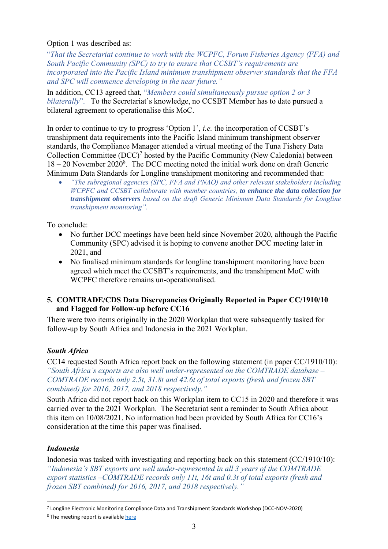#### Option 1 was described as:

"*That the Secretariat continue to work with the WCPFC, Forum Fisheries Agency (FFA) and South Pacific Community (SPC) to try to ensure that CCSBT's requirements are incorporated into the Pacific Island minimum transhipment observer standards that the FFA and SPC will commence developing in the near future."*

In addition, CC13 agreed that, "*Members could simultaneously pursue option 2 or 3 bilaterally*". To the Secretariat's knowledge, no CCSBT Member has to date pursued a bilateral agreement to operationalise this MoC.

In order to continue to try to progress 'Option 1', *i.e.* the incorporation of CCSBT's transhipment data requirements into the Pacific Island minimum transhipment observer standards, the Compliance Manager attended a virtual meeting of the Tuna Fishery Data Collection Committee  $(DCC)^7$  hosted by the Pacific Community (New Caledonia) between  $18 - 20$  November  $2020<sup>8</sup>$ . The DCC meeting noted the initial work done on draft Generic Minimum Data Standards for Longline transhipment monitoring and recommended that:

• *"The subregional agencies (SPC, FFA and PNAO) and other relevant stakeholders including WCPFC and CCSBT collaborate with member countries, to enhance the data collection for transhipment observers based on the draft Generic Minimum Data Standards for Longline transhipment monitoring".*

To conclude:

- No further DCC meetings have been held since November 2020, although the Pacific Community (SPC) advised it is hoping to convene another DCC meeting later in 2021, and
- No finalised minimum standards for longline transhipment monitoring have been agreed which meet the CCSBT's requirements, and the transhipment MoC with WCPFC therefore remains un-operationalised.

### **5. COMTRADE/CDS Data Discrepancies Originally Reported in Paper CC/1910/10 and Flagged for Follow-up before CC16**

There were two items originally in the 2020 Workplan that were subsequently tasked for follow-up by South Africa and Indonesia in the 2021 Workplan.

# *South Africa*

CC14 requested South Africa report back on the following statement (in paper CC/1910/10): *"South Africa's exports are also well under-represented on the COMTRADE database – COMTRADE records only 2.5t, 31.8t and 42.6t of total exports (fresh and frozen SBT combined) for 2016, 2017, and 2018 respectively."*

South Africa did not report back on this Workplan item to CC15 in 2020 and therefore it was carried over to the 2021 Workplan. The Secretariat sent a reminder to South Africa about this item on 10/08/2021. No information had been provided by South Africa for CC16's consideration at the time this paper was finalised.

### *Indonesia*

Indonesia was tasked with investigating and reporting back on this statement (CC/1910/10): *"Indonesia's SBT exports are well under-represented in all 3 years of the COMTRADE export statistics –COMTRADE records only 11t, 16t and 0.3t of total exports (fresh and frozen SBT combined) for 2016, 2017, and 2018 respectively."*

<sup>7</sup> Longline Electronic Monitoring Compliance Data and Transhipment Standards Workshop (DCC-NOV-2020)

<sup>&</sup>lt;sup>8</sup> The meeting report is availabl[e here](https://oceanfish.spc.int/en/meetingsworkshops/dcc/512-ll-em-compliance-data-and-transhipment-standards-workshop-2020)